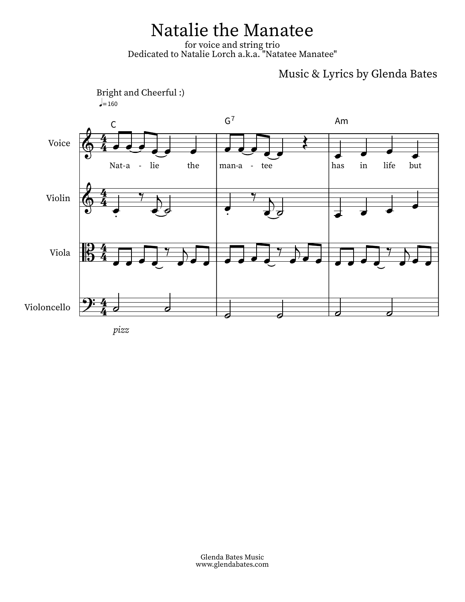## Natalie the Manatee

for voice and string trio<br>Dedicated to Natalie Lorch a.k.a. "Natatee Manatee"

## Music & Lyrics by Glenda Bates



pizz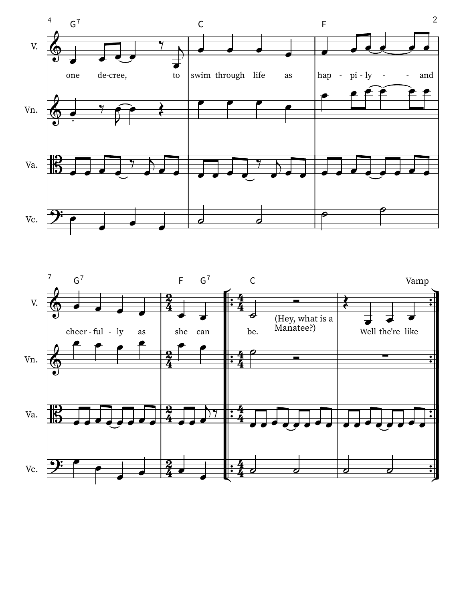

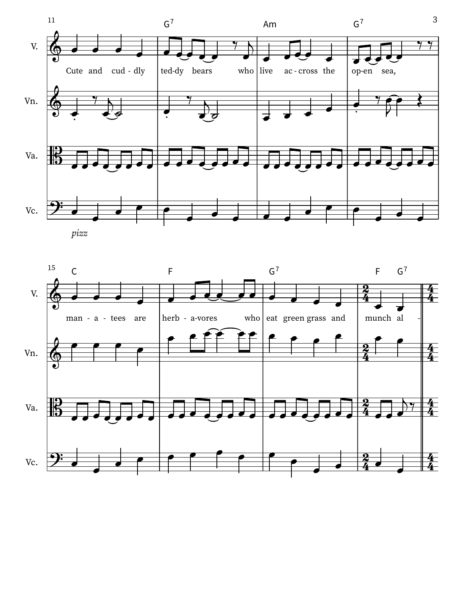

pizz

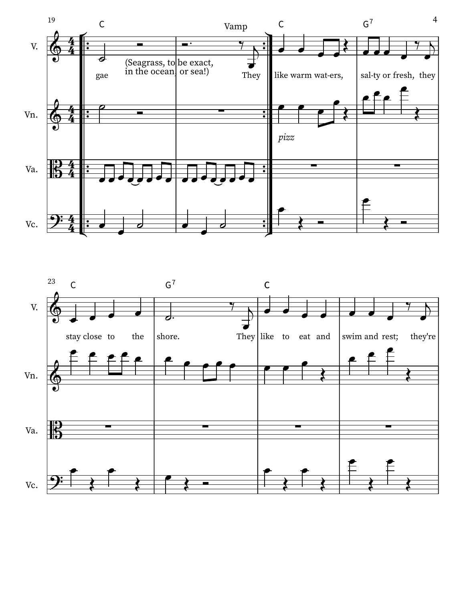

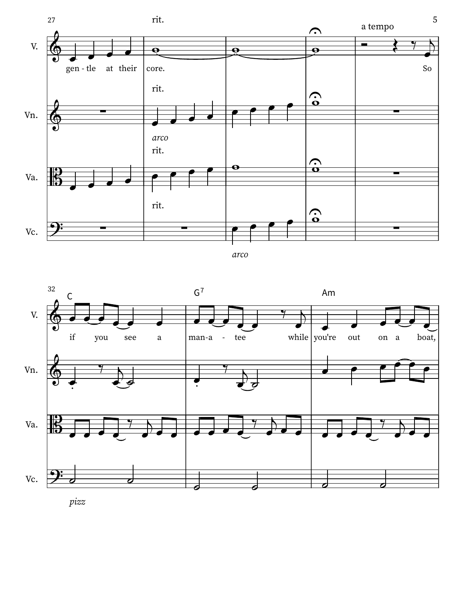

```
arco
```


pizz